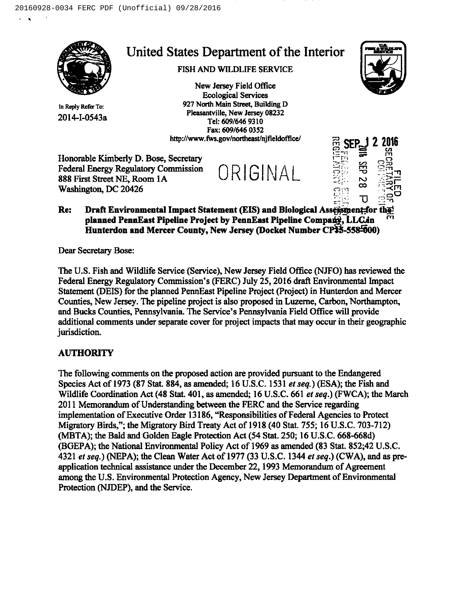

In Reply Refer To: 2014-I-0543a

# United States Department of the Interior

## FISH AND WILDLIFE SERVICE

New Jersey Field Office Ecological Services 927 North Main Street, Building D Pleasantville, New Jersey 08232 Tel: 609/646 9310 Fax: 609/646 0352 http://www.fws.gov/northeast/njfieldoffice/

l L



- 2 2016 I  $\Xi$ : 0  $-\frac{1}{2}$  $\approx$ U

Honorable Kimberly D. Bose, Secretary Federal Energy Regulatory Commission <sup>888</sup> First Street NE, Room IA L Washington, DC 20426

#### Re: Draft Environmental Impact Statement (EIS) and Biological Assessment-for the planned PennEast Pipeline Project by PennEast Pipeline Company, LLCin Hunterdon and Mercer County, New Jersey (Docket Number CP#5-558-000)

Dear Secretary Bose:

The U.S. Fish and Wildlife Service (Service), New Jersey Field Office (NJFO) has reviewed the Federal Energy Regulatory Commission's (FERC) July 25, 2016 draff Environmental Impact Statement (DEIS) for the planned PennEast Pipeline Project (Project) in Hunterdon and Mercer Counties, New Jersey. The pipeline project is also proposed in Luzerne, Carbon, Northampton, and Bucks Counties, Pennsylvania. The Service's Pennsylvania Field Office will provide additional comments under separate cover for project impacts that may occur in their geographic jurisdiction.

## AUTHORITY

The following comments on the proposed action are provided pursuant to the Endangered Species Act of 1973 (87 Stat. 884, as amended; 16 U.S.C. 1531 et seq.) (ESA); the Fish and Wildlife Coordination Act (48 Stat. 401, as amended; 16 U.S.C.661 et seq.) (FWCA); the March 2011 Memorandum of Understanding between the FERC and the Service regarding implementation of Executive Order 13186, "Responsibilities of Federal Agencies to Protect Migratory Birds,"; the Migratory Bird Treaty Act of 1918(40 Stat. 755; 16 U.S.C.703-712) (MBTA); the Bald and Golden Eagle Protection Act (54 Stat. 250; 16 U.S.C.668-668d) (BGEPA); the National Environmental Policy Act of 1969 as amended (83 Stat. 852;42 U.S.C. 4321 et seq.) (NEPA); the Clean Water Act of 1977 (33 U.S.C. 1344 et seq.) (CWA), and as preapplication technical assistance under the December 22, 1993 Memorandum of Agreement among the U.S. Environmental Protection Agency, New Jersey Department of Environmental Protection (NJDEP), and the Service.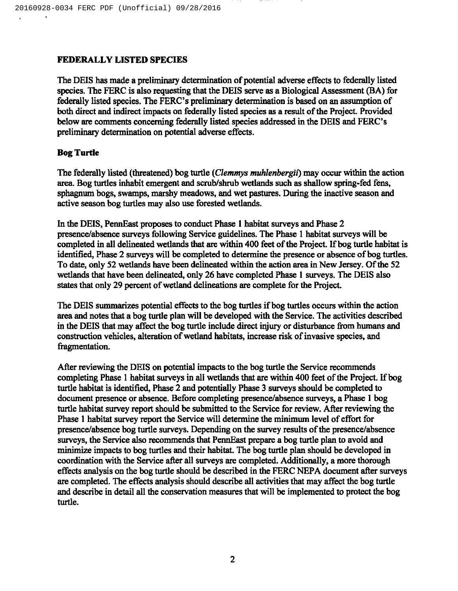#### FEDERALLY LISTED SPECIES

The DEIS has made a preliminary determination of potential adverse effects to federally listed species. The FERC is also requesting that the DEIS serve as a Biological Assessment (BA) for federally listed species. The FERC's preliminary determination is based on an assumption of both direct and indirect impacts on federally listed species as a result of the Project. Provided below are comments concerning federally listed species addressed in the DEIS and FERC's preliminary determination on potential adverse effects.

#### Bog Turtle

The federally listed (threatened) bog turtle (*Clemmys muhlenbergii*) may occur within the action area. Bog turtles inhabit emergent and scrub/shrub wetlands such as shallow spring-fed fens, sphagnum bogs, swamps, marshy meadows, and wet pastures. During the inactive season and active season bog turtles may also use forested wetlands.

In the DEIS, PennEast proposes to conduct Phase I habitat surveys and Phase 2 presence/absence surveys following Service guidelines. The Phase I habitat surveys will be completed in all delineated wetlands that are within 400 feet of the Project. If bog turtle habitat is identified, Phase 2 surveys will be completed to determine the presence or absence of bog turtles. To date, only 52 wetlands have been delineated within the action area in New Jersey. Of the 52 wetlands that have been delineated, only 26 have completed Phase I surveys. The DEIS also states that only 29 percent of wetland delineations are complete for the Project.

The DEIS summarizes potential effects to the bog turtles if bog turtles occurs within the action area and notes that a bog turtle plan will be developed with the Service. The activities described in the DEIS that may affect the bog turtle include direct injury or disturbance from humans and construction vehicles, alteration of wetland habitats, increase risk ofinvasive species, and fragmentation.

After reviewing the DEIS on potential impacts to the bog turtle the Service recommends completing Phase 1 habitat surveys in all wetlands that are within 400 feet of the Project. If bog turtle habitat is identified, Phase 2 and potentially Phase 3 surveys should be completed to document presence or absence. Before completing presence/absence surveys, a Phase I bog turtle habitat survey report should be submitted to the Service for review. After reviewing the Phase I habitat survey report the Service will determine the minimum level of effort for presence/absence bog turtle surveys. Depending on the survey results ofthe presence/absence surveys, the Service also recommends that PennEast prepare a bog turtle plan to avoid and minimize impacts to bog turtles and their habitat. The bog turtle plan should be developed in coordination with the Service after all surveys are completed. Additionally, a more thorough effects analysis on the bog turtle should be described in the FERC NEPA document after surveys are completed. The effects analysis should describe all activities that may affect the bog turtle and describe in detail all the conservation measures that will be implemented to protect the bog turtle.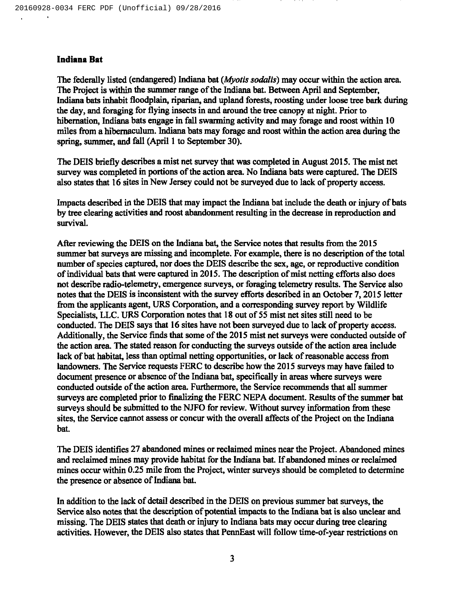#### Indiana Bat

The federally listed (endangered) Indiana bat (*Myotis sodalis*) may occur within the action area. The Project is within the summer range of the Indiana bat. Between April and September, Indiana bats inhabit floodplain, riparian, and upland forests, roosting under loose tree bark during the day, and foraging for flying insects in and around the tree canopy at night. Prior to hibernation, Indiana bats engage in fall swarming activity and may forage and roost within 10 miles from a hibernaculum. Indiana bats may forage and most within the action area during the spring, summer, and fall (April <sup>1</sup> to September 30).

The DEIS briefly describes a mist net survey that was completed in August 2015. The mist net survey was completed in portions of the action area. No Indiana bats were captured. The DEIS also states that 16 sites in New Jersey could not be surveyed due to lack of property access.

Impacts described in the DEIS that may impact the Indiana bat include the death or injury of bats by tree clearing activities and roost abandonment resulting in the decrease in reproduction and survival.

After reviewing the DEIS on the Indiana bat, the Service notes that results from the 2015 summer bat surveys are missing and incomplete. For example, there is no description of the total number of species captured, nor does the DEIS describe the sex, age, or reproductive condition of individual bats that were captured in 2015. The description of mist netting efforts also does not describe radio-telemetry, emergence surveys, or foraging telemetry results. The Service also notes that the DEIS is inconsistent with the survey efforts described in an October 7, 2015 letter from the applicants agent, URS Corporation, and a corresponding survey report by Wildlife Specialists, LLC. URS Corporation notes that 18 out of 55 mist net sites still need to be conducted. The DEIS says that 16 sites have not been surveyed due to lack of property access. Additionally, the Service finds that some of the 2015 mist net surveys were conducted outside of the action area. The stated reason for conducting the surveys outside of the action area include lack of bat habitat, less than optimal netting opportunities, or lack of reasonable access from landowners. The Service requests FERC to describe how the 2015 surveys may have failed to document presence or absence of the Indiana bat, specifically in areas where surveys were conducted outside of the action area. Furthermore, the Service recommends that all summer surveys are completed prior to finalizing the FERC NEPA document. Results ofthe summer bat surveys should be submitted to the NJFO for review. Without survey information from these sites, the Service cannot assess or concur with the overall affects of the Project on the Indiana bat.

The DEIS identifies 27 abandoned mines or reclaimed mines near the Project. Abandoned mines and reclaimed mines may provide habitat for the Indiana bat. If abandoned mines or reclaimed mines occur within 0.25 mile from the Project, winter surveys should be completed to determine the presence or absence of Indiana bat.

In addition to the lack of detail described in the DEIS on previous summer bat surveys, the Service also notes that the description of potential impacts to the Indiana bat is also unclear and missing. The DEIS states that death or injury to Indiana bats may occur during tree clearing activities. However, the DEIS also states that PennEast will follow time-of-year restrictions on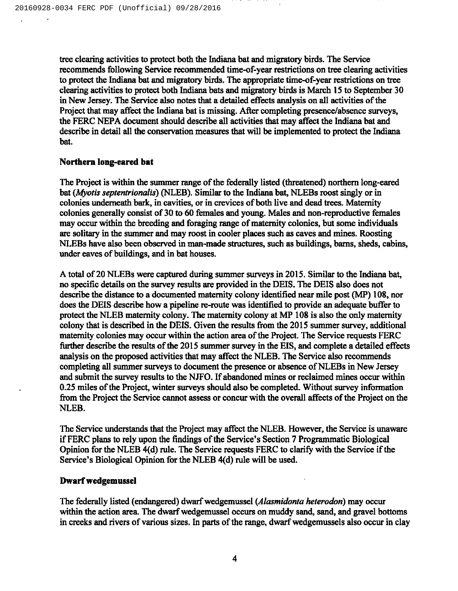tree clearing activities to pmtect both the Indiana bat and migratory birds. The Service recommends following Service recommended time-of-year restrictions on tree clearing activities to protect the Indiana bat and migratory birds. The appropriate time-of-year restrictions on tree clearing activities to protect both Indiana bats and migratory birds is March 15 to September 30 in New Jersey. The Service also notes that a detailed effects analysis on all activities of the Project that may affect the Indiana bat is missing. After completing presence/absence surveys, the FERC NEPA document should describe all activities that may affect the Indiana bat and describe in detail all the conservation measures that will be implemented to protect the Indiana bat.

#### Northern long-eared bat

The Project is within the summer range of the federally listed (threatened) northern long-eared bat (Myotis septentrionalis) (NLEB). Similar to the Indiana bat, NLEBs roost singly or in colonies underneath bark, in cavities, or in crevices of both live and dead trees. Maternity colonies generally consist of 30 to 60 females and young. Males and non-reproductive females may occur within the breeding and foraging range of maternity colonies, but some individuals are solitary in the summer and may roost in cooler places such as caves and mines. Roosting NLEBs have also been observed in man-made structures, such as buildings, barns, sheds, cabins, under eaves of buildings, and in bat houses.

A total of 20 NLEBs were captured during summer surveys in 2015. Similar to the Indiana bat, no specific details on the survey results are provided in the DEIS. The DEIS also does not describe the distance to a documented maternity colony identified near mile post (MP) 108, nor does the DEIS describe how a pipeline re-route was identified to provide an adequate buffer to protect the NLEB maternity colony. The maternity colony at MP 108 is also the only maternity colony that is described in the DEIS. Given the results from the 2015 summer survey, additional maternity colonies may occur within the action area of the Project. The Service requests FERC further describe the results of the 2015 summer survey in the EIS, and complete a detailed effects analysis on the proposed activities that may affect the NLEB. The Service also recommends completing all summer surveys to document the presence or absence of NLEBs in New Jersey and submit the survey results to the NJFO. If abandoned mines or reclaimed mines occur within 0.25 miles of the Project, winter surveys should also be completed. Without survey information from the Project the Service cannot assess or concur with the overall affects of the Project on the NLEB.

The Service understands that the Project may affect the NLEB. However, the Service is unaware if FERC plans to rely upon the findings ofthe Service's Section 7 Programmatic Biological Opinion for the NLEB 4(d) rule. The Service requests FERC to clarify with the Service if the Service's Biological Opinion for the NLEB 4(d) rule will be used.

#### Dwarf wedgemussel

The federally listed (endangered) dwarf wedgemussel (Alasmidonta hererodon) may occur within the action area. The dwarf wedgemussel occurs on muddy sand, sand, and gravel bottoms in creeks and rivers of various sizes. In parts of the range, dwarf wedgemussels also occur in clay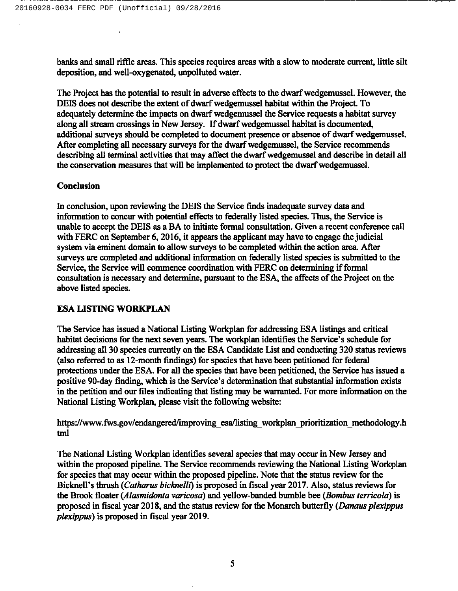banks and small riffle areas. This species requires areas with a slow to moderate current, little silt deposition, and well-oxygenated, unpolluted water.

The Project has the potential to result in adverse effects to the dwarf wedgemussel. However, the DEIS does not describe the extent of dwarf wedgemussel habitat within the Project. To adequately determine the impacts on dwarf wedgemussel the Service requests a habitat survey along all stream crossings in New Jersey. If dwarf wedgemussel habitat is documented, additional surveys should be completed to document presence or absence of dwarf wedgemussel. After completing all necessary surveys for the dwarf wedgemussel, the Service recommends describing all terminal activities that may affect the dwarf wedgemussel and describe in detail all the conservation measures that will be implemented to protect the dwarf wedgemussel.

#### Conclusion

In conclusion, upon reviewing the DEIS the Service finds inadequate survey data and information to concur with potential effects to federally listed species. Thus, the Service is unable to accept the DEIS as a BA to initiate formal consultation. Given a recent conference call with FERC on September 6, 2016, it appears the applicant may have to engage the judicial system via eminent domain to allow surveys to be completed within the action area. After surveys are completed and additional information on federally listed species is submitted to the Service, the Service will commence coordination with FERC on determining if formal consultation is necessary and determine, pursuant to the ESA, the affects of the Project on the above listed species.

#### ESA LISTING WORKPLAN

The Service has issued a National Listing Workplan for addressing ESA listings and critical habitat decisions for the next seven years. The workplan identifies the Service's schedule for addressing all 30 species currently on the ESA Candidate List and conducting 320 status reviews (also referred to as 12-month findings) for species that have been petitioned for federal protections under the ESA. For all the species that have been petitioned, the Service has issued a positive 90-day finding, which is the Service's determination that substantial information exists in the petition and our files indicating that listing may be warranted. For more information on the National Listing Workplan, please visit the following website:

https://www.fws.gov/endangered/improving esa/listing workplan prioritization methodology.h tml

The National Listing Workplan identifies several species that may occur in New Jersey and within the proposed pipeline. The Service recommends reviewing the National Listing Workplan for species that may occur within the proposed pipeline. Note that the status review for the Bicknell's thrush (Catharus bicknelli) is proposed in fiscal year 2017. Also, status reviews for the Brook floater (Alasmidonta varicosa) and yellow-banded bumble bee (Bombus terricola) is proposed in fiscal year 2018, and the status review for the Monarch butterfly (*Danaus plexippus* plexippus) is proposed in fiscal year 2019.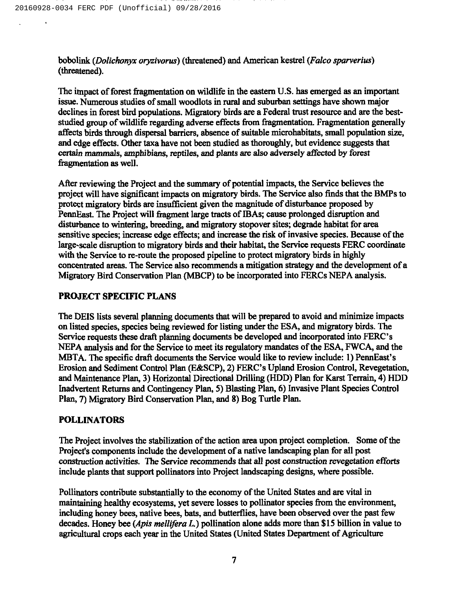bobolink (Dolichonyx oryzivorus) (threatened) and American kestrel (Falco sparverius) (threatened).

The impact of forest fragmentation on wildlife in the eastern U.S. has emerged as an important issue. Numerous studies of small woodlots in rural and suburban settings have shown major declines in forest bird populations. Migratory birds are a Federal trust resource and are the beststudied group of wildlife regarding adverse effects from fragmentation. Fragmentation generally affects birds through dispersal barriers, absence of suitable microhabitats, small population size, and edge effects. Other taxa have not been studied as thoroughly, but evidence suggests that certain mammals, amphibians, reptiles, and plants are also adversely affected by forest fragmentation as well.

After reviewing the Project and the summary of potential impacts, the Service believes the project will have significant impacts on migratory birds. The Service also finds that the BMPs to protect migratory birds are insufficient given the magnitude of disturbance proposed by PennEast. The Project will fragment large tracts of IBAs; cause prolonged disruption and disturbance to wintering, breeding, and migratory stopover sites; degrade habitat for area sensitive species; increase edge effects; and increase the risk of invasive species. Because of the large-scale disruption to migratory birds and their habitat, the Service requests FERC coordinate with the Service to re-route the proposed pipeline to protect migratory birds in highly concentrated areas. The Service also recommends a mitigation strategy and the development of a Migratory Bird Conservation Plan (MBCP) to be incorporated into FERCs NEPA analysis.

### PROJECT SPECIFIC PLANS

The DEIS lists several planning documents that will be prepared to avoid and minimize impacts on listed species, species being reviewed for listing under the ESA, and migratory birds. The Service requests these draft planning documents be developed and incorporated into FERC's NEPA analysis and for the Service to meet its regulatory mandates of the ESA, FWCA, and the MBTA. The specific draft documents the Service would like to review include: 1) PennEast's Erosion and Sediment Control Plan (E&SCP), 2) FERC's Upland Erosion Control, Revegetation, and Maintenance Plan, 3) Horizontal Directional Drilling (HDD) Plan for Karst Terrain, 4) HDD Inadvertent Returns and Contingency Plan, 5) Blasting Plan, 6) Invasive Plant Species Control Plan, 7) Migratory Bird Conservation Plan, and 8) Bog Turtle Plan.

#### POLLINATORS

The Project involves the stabilization of the action area upon project completion. Some of the Project's components include the development of a native landscaping plan for all post construction activities. The Service recommends that all post construction revegetation efforts include plants that support pollinators into Project landscaping designs, where possible.

Pollinators contribute substantially to the economy of the United States and are vital in maintaining healthy ecosystems, yet severe losses to pollinator species from the environment, including honey bees, native bees, bats, and butterflies, have been observed over the past few decades. Honey bee (*Apis mellifera L*.) pollination alone adds more than \$15 billion in value to agricultural crops each year in the United States (United States Department of Agriculture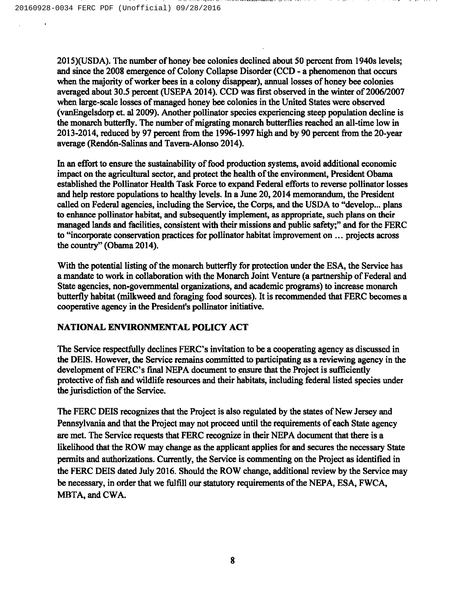2015)(USDA). The number of honey bee colonies declined about 50 percent from 1940s levels; and since the 2008 emergence of Colony Collapse Disorder (CCD - a phenomenon that occurs when the majority of worker bees in a colony disappear), annual losses of honey bee colonies averaged about 30.5 percent (USEPA 2014). CCD was first observed in the winter of 2006/2007 when large-scale losses of managed honey bee colonies in the United States were observed (vanEngelsdorp et. al 2009). Another pollinator species experiencing steep population decline is the monarch butterfly. The number of migrating monarch butterflies reached an all-time low in 2013-2014, reduced by 97 percent from the 1996-1997 high and by 90 percent from the 20-year average (Rend6n-Salinas and Tavera-Alonso 2014).

In an effort to ensure the sustainability of food production systems, avoid additional economic impact on the agricultural sector, and protect the health of the environment, President Obama established the Pollinator Health Task Force to expand Federal efforts to reverse pollinator losses and help restore populations to healthy levels. In a June 20, 2014 memorandum, the President called on Federal agencies, including the Service, the Corps, and the USDA to "develop... plans to enhance pollinator habitat, and subsequently implement, as appropriate, such plans on their managed lands and facilities, consistent with their missions and public safety;" and for the FERC to "incorporate conservation practices for pollinator habitat improvement on ... projects across the country" (Obama 2014).

With the potential listing of the monarch butterfly for protection under the ESA, the Service has a mandate to work in collaboration with the Monarch Joint Venture (a partnership of Federal and State agencies, non-governmental organizations, and academic programs) to increase monarch butterfly habitat (milkweed and foraging food sources). It is recommended that FERC becomes a cooperative agency in the President's pollinator initiative.

## NATIONAL ENVIRONMENTAL POLICY ACT

The Service respectfully declines FERC's invitation to be a cooperating agency as discussed in the DEIS. However, the Service remains committed to participating as a reviewing agency in the development of FERC's final NEPA document to ensure that the Project is sufficiently protective of fish and wildlife resources and their habitats, including federal listed species under the jurisdiction of the Service.

The FERC DEIS recognizes that the Project is also regulated by the states of New Jersey and Pennsylvania and that the Project may not proceed until the requirements of each State agency are met. The Service requests that FERC recognize in their NEPA document that there is a likelihood that the ROW may change as the applicant applies for and secures the necessary State permits and authorizations. Currently, the Service is commenting on the Project as identified in the FERC DEIS dated July 2016. Should the ROW change, additional review by the Service may be necessary, in order that we fulfill our statutory requirements of the NEPA, ESA, FWCA, MBTA, and CWA.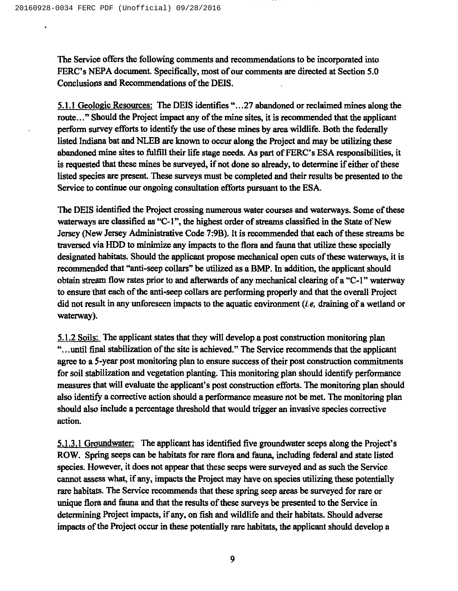The Service offers the following comments and recommendations to be incorporated into FERC's NEPA document. Specifically, most of our comments are directed at Section 5.0 Conclusions and Recommendations of the DEIS.

5.1.1 Geologic Resources: The DEIS identifies "...27 abandoned or reclaimed mines along the route..." Should the Project impact any of the mine sites, it is recommended that the applicant perform survey efforts to identify the use of these mines by area wildlife. Both the federally listed Indiana bat and NLEB are known to occur along the Project and may be utilizing these abandoned mine sites to fulfill their life stage needs. As part of FERC's ESA responsibilities, it is requested that these mines be surveyed, if not done so already, to determine if either of these listed species are present. These surveys must be completed and their results be presented to the Service to continue our ongoing consultation efforts pursuant to the ESA.

The DEIS identified the Project crossing numerous water courses and waterways. Some of these waterways are classified as "C-1", the highest order of streams classified in the State of New Jersey (New Jersey Administrative Code 7:9B). It is recommended that each of these streams be traversed via HDD to minimize any impacts to the flora and fauna that utilize these specially designated habitats. Should the applicant propose mechanical open cuts of these waterways, it is recommended that "anti-seep collars" be utilized as a BMP. In addition, the applicant should obtain stream flow rates prior to and aflerwards of any mechanical clearing of <sup>a</sup> "C-I"waterway to ensure that each of the anti-seep collars are performing properly and that the overall Project did not result in any unforeseen impacts to the aquatic environment (i.e, draining of a wetland or waterway).

5.1.2Soils: The applicant states that they will develop a post construction monitoring plan "...until final stabilization of the site is achieved." The Service recommends that the applicant agree to a 5-year post monitoring plan to ensure success of their post construction commitments for soil stabilization and vegetation planting. This monitoring plan should identify performance measures that will evaluate the applicant's post construction efforts. The monitoring plan should also identify a corrective action should a performance measure not be met. The monitoring plan should also include a percentage threshold that would trigger an invasive species corrective action.

5.1.3.1 Groundwater: The applicant has identified five groundwater seeps along the Project's ROW. Spring seeps can be habitats for rare flora and fauna, including federal and state listed species. However, it does not appear that these seeps were surveyed and as such the Service cannot assess what, if any, impacts the Project may have on species utilizing these potentially rare habitats. The Service recommends that these spring seep areas be surveyed for rare or unique flora and fauna and that the results of these surveys be presented to the Service in determining Project impacts, if any, on fish and wildlife and their habitats. Should adverse impacts of the Project occur in these potentially rare habitats, the applicant should develop a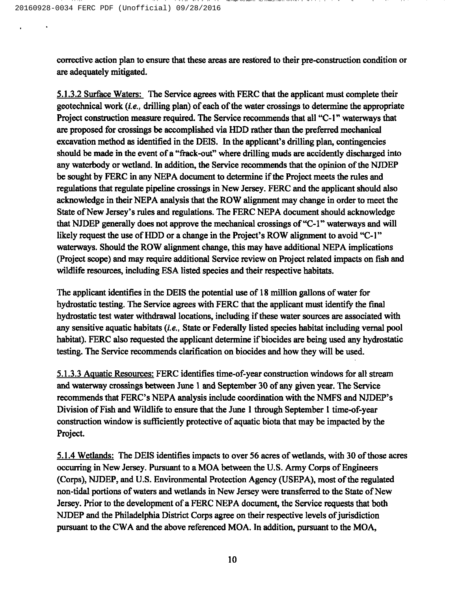corrective action plan to ensure that these areas are restored to their pre-construction condition or are adequately mitigated.

contract properties of the property and the properties of the contract of the contract of the contract of the

5.1.3.2Surface Waters: The Service agrees with FERC that the applicant must complete their geotechnical work (i.e., drilling plan) of each of the water crossings to determine the appropriate Project construction measure required. The Service recommends that all "C-1" waterways that are proposed for crossings be accomplished via HDD rather than the preferred mechanical excavation method as identified in the DEIS. In the applicant's drilling plan, contingencies should be made in the event of a "frack-out" where drilling muds are accidently discharged into any waterbody or wetland. In addition, the Service recommends that the opinion of the NJDEP be sought by FERC in any NEPA document to determine if the Project meets the rules and regulations that regulate pipeline crossings in New Jersey. FERC and the applicant should also acknowledge in their NEPA analysis that the ROW alignment may change in order to meet the State of New Jersey's rules and regulations. The FERC NEPA document should acknowledge that NJDEP generally does not approve the mechanical crossings of "C-1" waterways and will likely request the use of HDD or a change in the Project's ROW alignment to avoid "C-I" waterways. Should the ROW alignment change, this may have additional NEPA implications (Project scope) and may require additional Service review on Project related impacts on fish and wildlife resources, including ESA listed species and their respective habitats.

The applicant identifies in the DEIS the potential use of 18 million gallons of water for hydrostatic testing. The Service agrees with FERC that the applicant must identify the final hydrostatic test water withdrawal locations, including if these water sources are associated with any sensitive aquatic habitats (i.e., State or Federally listed species habitat including vernal pool habitat). FERC also requested the applicant determine if biocides are being used any hydrostatic testing. The Service recommends clarification on biocides and how they will be used.

5.1.3.3Aauatic Resources: FERC identifies time-of-year construction windows for all stream and waterway crossings between June 1 and September 30 of any given year. The Service recommends that FERC's NEPA analysis include coordination with the NMFS and NJDEP's Division of Fish and Wildlife to ensure that the June I through September I time-of-year construction window is sufticiently protective of aquatic biota that may be impacted by the Project.

5.1.4 Wetlands: The DEIS identifies impacts to over 56 acres of wetlands, with 30 of those acres occurring in New Jersey. Pursuant to a MOA between the U.S. Army Corps of Engineers (Corps), NJDEP, and U.S. Environmental Protection Agency (USEPA), most of the regulated non-tidal portions of waters and wetlands in New Jersey were transferred to the State of New Jersey. Prior to the development of a FERC NEPA document, the Service requests that both NJDEP and the Philadelphia District Corps agree on their respective levels of jurisdiction pursuant to the CWA and the above referenced MOA. In addition, pursuant to the MOA,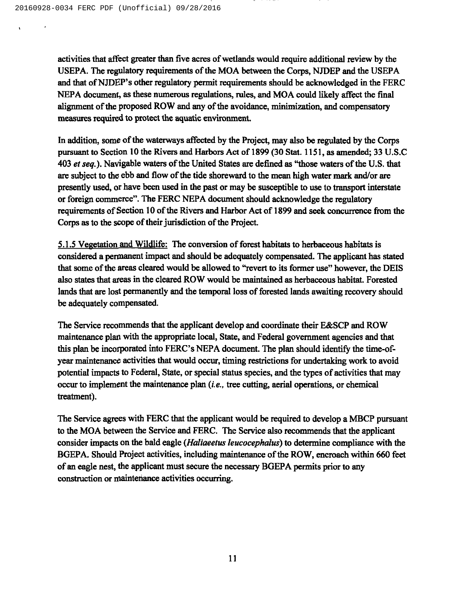activities that affect greater than five acres of wetlands would require additional review by the USEPA. The regulatory requirements of the MOA between the Corps, NJDEP and the USEPA and that of NJDEP's other regulatory permit requirements should be acknowledged in the FERC NEPA document, as these numerous regulations, rules, and MOA could likely affect the final alignment of the proposed ROW and any of the avoidance, minimization, and compensatory measures required to protect the aquatic environment.

In addition, some of the waterways affected by the Project, may also be regulated by the Corps pursuant to Section 10 the Rivers and Harbors Act of 1899 (30 Stat. 1151, as amended; 33 U.S.C 403 et seq.). Navigable waters of the United States are defined as "those waters of the U.S. that are subject to the ebb and flow of the tide shoreward to the mean high water mark and/or are presently used, or have been used in the past or may be susceptible to use to transport interstate or foreign commerce". The FERC NEPA document should acknowledge the regulatory requirements of Section 10 of the Rivers and Harbor Act of 1899 and seek concurrence from the Corps as to the scope of their jurisdiction of the Project.

5.1.5 Vegetation and Wildlife: The conversion of forest habitats to herbaceous habitats is considered a permanent impact and should be adequately compensated. The applicant has stated that some of the areas cleared would be allowed to "revert to its former use" however, the DEIS also states that areas in the cleared ROW would be maintained as herbaceous habitat. Forested lands that are lost permanently and the temporal loss of forested lands awaiting recovery should be adequately compensated.

The Service recommends that the applicant develop and coordinate their E&SCP and ROW maintenance plan with the appropriate local, State, and Federal government agencies and that this plan be incorporated into FERC's NEPA document. The plan should identify the time-ofyear maintenance activities that would occur, timing restrictions for undertaking work to avoid potential impacts to Federal, State, or special status species, and the types of activities that may occur to implement the maintenance plan (i.e., tree cutting, aerial operations, or chemical treatment).

The Service agrees with FERC that the applicant would be required to develop a MBCP pursuant to the MOA between the Service and FERC. The Service also recommends that the applicant consider impacts on the bald eagle (Haliaeetus leucocephalus) to determine compliance with the BGEPA. Should Project activities, including maintenance of the ROW, encroach within 660 feet of an eagle nest, the applicant must secure the necessary BGEPA permits prior to any construction or maintenance activities occurring.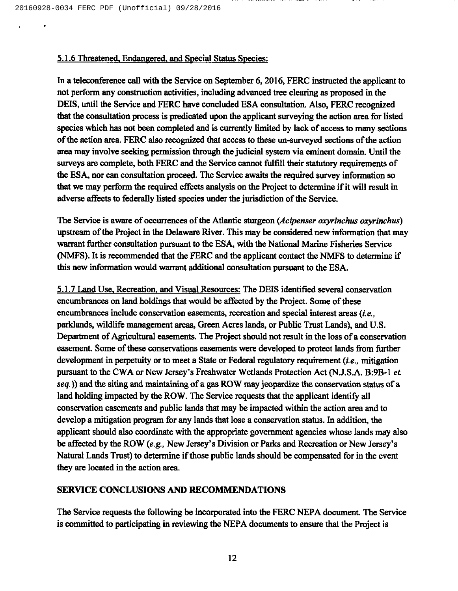## 5.1.6 Threatened. Endangered. and Special Status Species:

In a teleconference call with the Service on September 6, 2016, FERC instructed the applicant to not perform any construction activities, including advanced tree clearing as proposed in the DEIS, until the Service and FERC have concluded ESA consultation. Also, FERC recognized that the consultation process is predicated upon the applicant surveying the action area for listed species which has not been completed and is currently limited by lack of access to many sections of the action area. FERC also recognized that access to these un-surveyed sections of the action area may involve seeking permission through the judicial system via eminent domain. Until the surveys are complete, both FERC and the Service cannot fulfill their statutory requirements of the ESA, nor can consultation proceed. The Service awaits the required survey information so that we may perform the required effects analysis on the Project to determine if it will result in adverse affects to federally listed species under the jurisdiction of the Service.

The Service is aware of occurrences of the Atlantic sturgeon (Acipenser oxyrinchus oxyrinchus) upstream of the Project in the Delaware River. This may be considered new information that may warrant further consultation pursuant to the ESA, with the National Marine Fisheries Service (NMFS). It is recommended that the FERC and the applicant contact the NMFS to determine if this new information would warrant additional consultation pursuant to the ESA.

5.1.7Land Use. Recreation. and Visual Resources: The DEIS identified several conservation encumbrances on land holdings that would be affected by the Project. Some of these encumbrances include conservation easements, recreation and special interest areas *(i.e.*, parklands, wildlife management areas, Green Acres lands, or Public Trust Lands), and U.S. Department of Agricultural easements. The Project should not result in the loss of a conservation easement. Some of these conservations easements were developed to protect lands from further development in perpetuity or to meet a State or Federal regulatory requirement (*i.e.*, mitigation pursuant to the CWA or New Jersey's Freshwater Wetlands Protection Act (N.J.S.A. B:9B-1 et. seq.)) and the siting and maintaining of a gas ROW may jeopardize the conservation status of a land holding impacted by the ROW. The Service requests that the applicant identify all conservation easements and public lands that may be impacted within the action area and to develop a mitigation program for any lands that lose a conservation status. In addition, the applicant should also coordinate with the appropriate government agencies whose lands may also be affected by the ROW (e.g., New Jersey's Division or Parks and Recreation or New Jersey's Natural Lands Trust) to determine if those public lands should be compensated for in the event they are located in the action area.

## SERVICE CONCLUSIONS AND RECOMMENDATIONS

The Service requests the following be incorporated into the FERC NEPA document. The Service is committed to participating in reviewing the NEPA documents to ensure that the Project is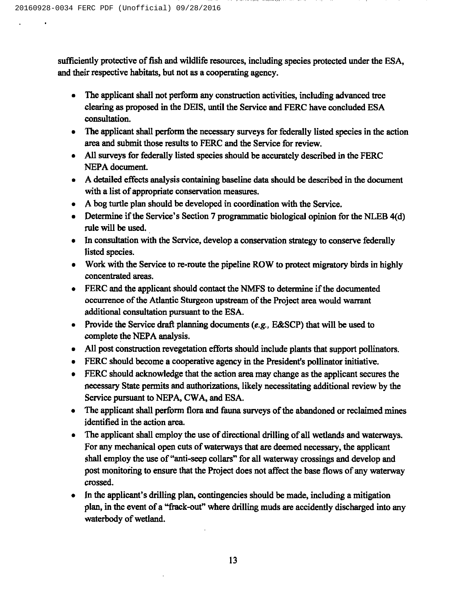sufficiently protective of fish and wildlife resources, including species protected under the ESA, and their respective habitats, but not as a cooperating agency.

- The applicant shall not perform any construction activities, including advanced tree clearing as proposed in the DEIS, until the Service and FERC have concluded ESA consultation.
- The applicant shall perform the necessary surveys for federally listed species in the action area and submit those results to FERC and the Service for review.
- All surveys for federally listed species should be accurately described in the FERC NEPA document.
- A detailed effects analysis containing baseline data should be described in the document with a list of appropriate conservation measures.
- A bog turtle plan should be developed in coordination with the Service.
- Determine if the Service's Section 7 programmatic biological opinion for the NLEB 4(d) rule will be used.
- In consultation with the Service, develop a conservation strategy to conserve federally listed species.
- Work with the Service to re-route the pipeline ROW to protect migratory birds in highly concentrated areas.
- FERC and the applicant should contact the NMFS to determine if the documented occurrence of the Atlantic Sturgeon upstream of the Project area would warrant additional consultation pursuant to the ESA.
- Provide the Service draft planning documents (e.g., E&SCP) that will be used to complete the NEPA analysis.
- All post construction revegetation efforts should include plants that support pollinators.
- FERC should become a cooperative agency in the President's pollinator initiative.
- FERC should acknowledge that the action area may change as the applicant secures the necessary State permits and authorizations, likely necessitating additional review by the Service pursuant to NEPA, CWA, and ESA.
- The applicant shall perform flora and fauna surveys of the abandoned or reclaimed mines  $\bullet$ identified in the action area.
- The applicant shall employ the use of directional drilling of all wetlands and waterways. For any mechanical open cuts of waterways that are deemed necessary, the applicant shall employ the use of "anti-seep collars" for all waterway crossings and develop and post monitoring to ensure that the Project does not affect the base flows of any waterway crossed.
- In the applicant's drilling plan, contingencies should be made, including a mitigation plan, in the event of a "frack-out" where drilling muds are accidently discharged into any waterbody of wetland.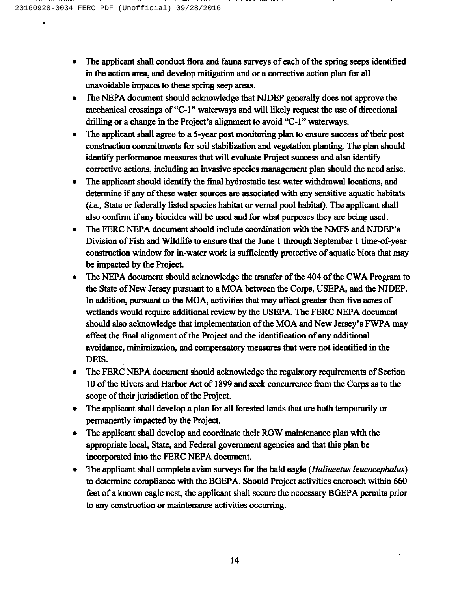- The applicant shall conduct flora and fauna surveys of each of the spring seeps identified in the action area, and develop mitigation and or a corrective action plan for all unavoidable impacts to these spring seep areas.
- The NEPA document should acknowledge that NJDEP generally does not approve the  $\bullet$ mechanical crossings of "C-1" waterways and will likely request the use of directional drilling or a change in the Project's alignment to avoid "C-1" waterways.
- The applicant shall agree to a 5-year post monitoring plan to ensure success of their post construction commitments for soil stabilization and vegetation planting. The plan should identify performance measures that will evaluate Project success and also identify corrective actions, including an invasive species management plan should the need arise.
- The applicant should identify the final hydrostatic test water withdrawal locations, and determine if any of these water sources are associated with any sensitive aquatic habitats  $(i.e.,$  State or federally listed species habitat or vernal pool habitat). The applicant shall also confirm if any biocides will be used and for what purposes they are being used.
- The FERC NEPA document should include coordination with the NMFS and NJDEP's Division of Fish and Wildlife to ensure that the June <sup>1</sup> through September I time-of-year construction window for in-water work is sufficiently protective of aquatic biota that may be impacted by the Project.
- The NEPA document should acknowledge the transfer of the 404 of the CWA Program to the State of New Jersey pursuant to a MOA between the Corps, USEPA, and the NJDEP. In addition, pursuant to the MOA, activities that may affect greater than five acres of wetlands would require additional review by the USEPA. The FERC NEPA document should also acknowledge that implementation of the MOA and New Jersey's FWPA may affect the final alignment of the Project and the identification of any additional avoidance, minimization, and compensatory measures that were not identified in the DEIS.
- The FERC NEPA document should acknowledge the regulatory requirements of Section  $\bullet$ 10 of the Rivers and Harbor Act of 1899 and seek concurrence from the Corps as to the scope of their jurisdiction of the Project.
- The applicant shall develop a plan for all forested lands that are both temporarily or  $\bullet$ permanently impacted by the Project.
- The applicant shall develop and coordinate their ROW maintenance plan with the appropriate local, State, and Federal government agencies and that this plan be incorporated into the FERC NEPA document.
- The applicant shall complete avian surveys for the bald eagle (Haliaeetus leucocephalus) to determine compliance with the BGEPA. Should Project activities encroach within 660 feet of a known eagle nest, the applicant shall secure the necessary BGEPA permits prior to any construction or maintenance activities occurring.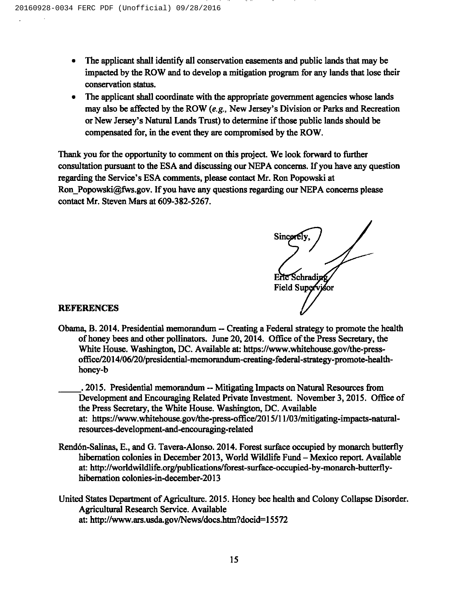- The applicant shall identify all conservation easements and public lands that may be impacted by the ROW and to develop a mitigation program for any lands that lose their conservation status.
- The applicant shall coordinate with the appropriate government agencies whose lands may also be affected by the ROW (e.g., New Jersey's Division or Parks and Recreation or New Jersey's Natural Lands Trust) to determine if those public lands should be compensated for, in the event they are compromised by the ROW.

Thank you for the opportunity to comment on this project. We look forward to further consultation pursuant to the ESA and discussing our NEPA concerns. If you have any question regarding the Service's ESA comments, please contact Mr. Ron Popowski at Ron Popowski@fws.gov. If you have any questions regarding our NEPA concerns please contact Mr. Steven Mars at 609-382-5267.

Sincere Eric Schradin Supervjsor

#### REFERENCES

- Obama, B.2014. Presidential memorandum —Creating <sup>a</sup> Federal strategy to promote the health of honey bees and other pollinators. June 20, 2014. Office ofthe Press Secretary, the White House. Washington, DC. Available at: https://www.whitehouse.gov/the-pressoffice/2014/06/20/presidential-memorandum-creating-federal-strategy-promote-healthhoney-b
- . 2015. Presidential memorandum -- Mitigating Impacts on Natural Resources from Development and Encouraging Related Private Investment. November 3, 2015. Office of the Press Secretary, the White House. Washington, DC. Available at: https://www.whitehouse.gov/the-press-office/2015/11/03/mitigating-impacts-naturalresources-development-and-encouraging-related
- Rend6n-Salinas, E., and G. Tavera-Alonso. 2014. Forest surface occupied by monarch butterfly hibernation colonies in December 2013, World Wildlife Fund - Mexico report. Available at: http://worldwildlife.org/publications/forest-surface-occupied-by-monarch-butterflyhibernation colonies-in-december-2013
- United States Department of Agriculture. 2015. Honey bee health and Colony Collapse Disorder. Agricultural Research Service. Available at: http: //www.ars.usda.gov/News/docs.htm?docid=15572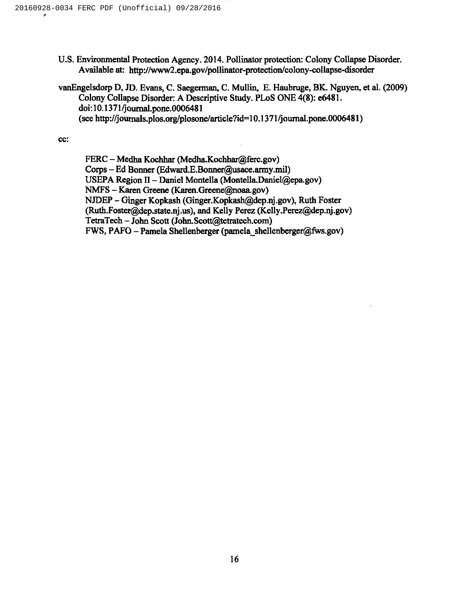- U.S. Environmental Protection Agency. 2014. Pollinator protection: Colony Collapse Disorder. Available at: http://www2.epa.gov/pollinator-protection/colony-collapse-disorder
- vanEngelsdorp D, JD. Evans, C. Saegerman, C. Mullin, E. Haubruge, BK. Nguyen, et al. (2009) Colony Collapse Disorder: A Descriptive Study. PLoS ONE 4(8): e6481. doi:10.1371/journaLpone.0006481 (see http: //journals.plos.org/plosone/article?id=10.1371/journal.pone.0006481)

cc:

FERC – Medha Kochhar (Medha.Kochhar@ferc.gov) Corps —Ed Bonner (Edward.E.Bonner@usace.army.mil) USEPA Region II – Daniel Montella (Montella.Daniel@epa.gov) NMFS - Karen Greene (Karen. Greene@noaa.gov) NJDEP – Ginger Kopkash (Ginger.Kopkash@dep.nj.gov), Ruth Foster (Ruth.Foster@dep.state.nj.us), and Kelly Perez (Kelly.Perez@dep.nj.gov) TetraTech - John Scott (John. Scott@tetratech.com)  $FWS, PAFO - Pamela Shellenberger (pamela shellenberger@fws.gov)$